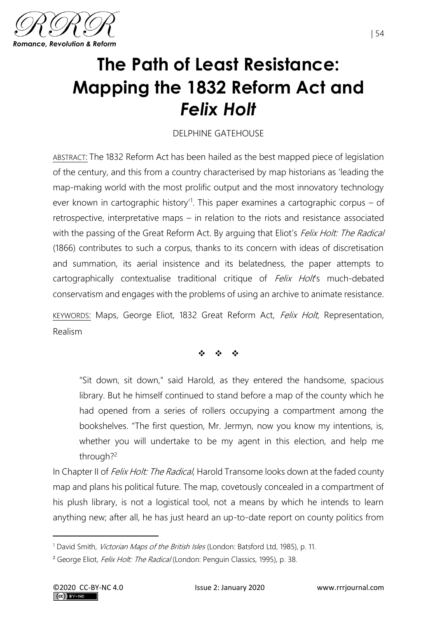

# **The Path of Least Resistance: Mapping the 1832 Reform Act and**  *Felix Holt*

## DELPHINE GATEHOUSE

ABSTRACT: The 1832 Reform Act has been hailed as the best mapped piece of legislation of the century, and this from a country characterised by map historians as 'leading the map-making world with the most prolific output and the most innovatory technology ever known in cartographic history<sup>1</sup>. This paper examines a cartographic corpus – of retrospective, interpretative maps – in relation to the riots and resistance associated with the passing of the Great Reform Act. By arguing that Eliot's Felix Holt: The Radical (1866) contributes to such a corpus, thanks to its concern with ideas of discretisation and summation, its aerial insistence and its belatedness, the paper attempts to cartographically contextualise traditional critique of *Felix Holt's* much-debated conservatism and engages with the problems of using an archive to animate resistance.

KEYWORDS: Maps, George Eliot, 1832 Great Reform Act, Felix Holt, Representation, Realism

❖ ❖ ❖

"Sit down, sit down," said Harold, as they entered the handsome, spacious library. But he himself continued to stand before a map of the county which he had opened from a series of rollers occupying a compartment among the bookshelves. "The first question, Mr. Jermyn, now you know my intentions, is, whether you will undertake to be my agent in this election, and help me through?<sup>2</sup>

In Chapter II of *Felix Holt: The Radical*, Harold Transome looks down at the faded county map and plans his political future. The map, covetously concealed in a compartment of his plush library, is not a logistical tool, not a means by which he intends to learn anything new; after all, he has just heard an up-to-date report on county politics from

<sup>&</sup>lt;sup>1</sup> David Smith, *Victorian Maps of the British Isles* (London: Batsford Ltd, 1985), p. 11.

<sup>&</sup>lt;sup>2</sup> George Eliot, *Felix Holt: The Radical* (London: Penguin Classics, 1995), p. 38.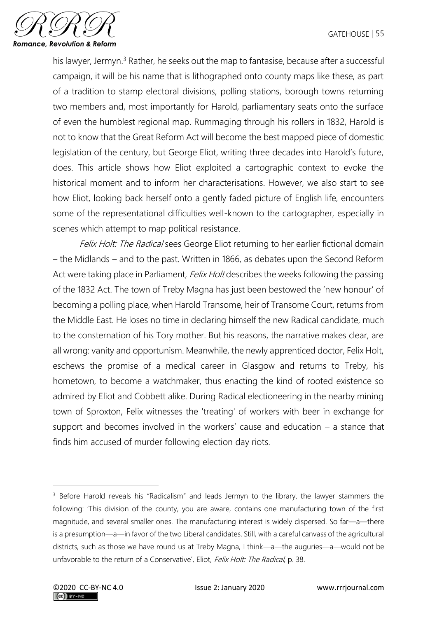

his lawyer, Jermyn.<sup>3</sup> Rather, he seeks out the map to fantasise, because after a successful campaign, it will be his name that is lithographed onto county maps like these, as part of a tradition to stamp electoral divisions, polling stations, borough towns returning two members and, most importantly for Harold, parliamentary seats onto the surface of even the humblest regional map. Rummaging through his rollers in 1832, Harold is not to know that the Great Reform Act will become the best mapped piece of domestic legislation of the century, but George Eliot, writing three decades into Harold's future, does. This article shows how Eliot exploited a cartographic context to evoke the historical moment and to inform her characterisations. However, we also start to see how Eliot, looking back herself onto a gently faded picture of English life, encounters some of the representational difficulties well-known to the cartographer, especially in scenes which attempt to map political resistance.

Felix Holt: The Radical sees George Eliot returning to her earlier fictional domain – the Midlands – and to the past. Written in 1866, as debates upon the Second Reform Act were taking place in Parliament, *Felix Holt* describes the weeks following the passing of the 1832 Act. The town of Treby Magna has just been bestowed the 'new honour' of becoming a polling place, when Harold Transome, heir of Transome Court, returns from the Middle East. He loses no time in declaring himself the new Radical candidate, much to the consternation of his Tory mother. But his reasons, the narrative makes clear, are all wrong: vanity and opportunism. Meanwhile, the newly apprenticed doctor, Felix Holt, eschews the promise of a medical career in Glasgow and returns to Treby, his hometown, to become a watchmaker, thus enacting the kind of rooted existence so admired by Eliot and Cobbett alike. During Radical electioneering in the nearby mining town of Sproxton, Felix witnesses the 'treating' of workers with beer in exchange for support and becomes involved in the workers' cause and education – a stance that finds him accused of murder following election day riots.

<sup>&</sup>lt;sup>3</sup> Before Harold reveals his "Radicalism" and leads Jermyn to the library, the lawyer stammers the following: 'This division of the county, you are aware, contains one manufacturing town of the first magnitude, and several smaller ones. The manufacturing interest is widely dispersed. So far—a—there is a presumption—a—in favor of the two Liberal candidates. Still, with a careful canvass of the agricultural districts, such as those we have round us at Treby Magna, I think—a—the auguries—a—would not be unfavorable to the return of a Conservative', Eliot, Felix Holt: The Radical, p. 38.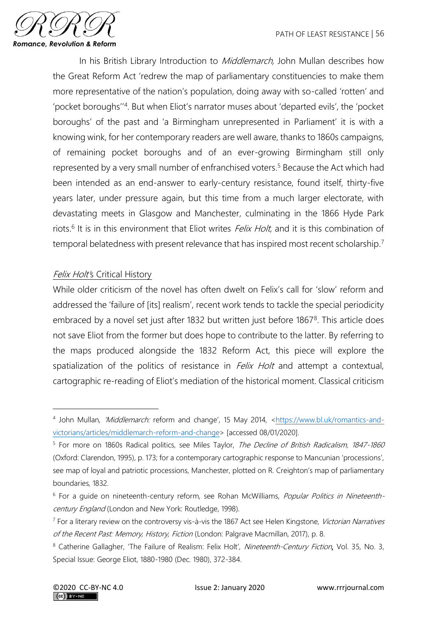

In his British Library Introduction to *Middlemarch*, John Mullan describes how the Great Reform Act 'redrew the map of parliamentary constituencies to make them more representative of the nation's population, doing away with so-called 'rotten' and 'pocket boroughs"<sup>4</sup>. But when Eliot's narrator muses about 'departed evils', the 'pocket boroughs' of the past and 'a Birmingham unrepresented in Parliament' it is with a knowing wink, for her contemporary readers are well aware, thanks to 1860s campaigns, of remaining pocket boroughs and of an ever-growing Birmingham still only represented by a very small number of enfranchised voters. <sup>5</sup> Because the Act which had been intended as an end-answer to early-century resistance, found itself, thirty-five years later, under pressure again, but this time from a much larger electorate, with devastating meets in Glasgow and Manchester, culminating in the 1866 Hyde Park riots.<sup>6</sup> It is in this environment that Eliot writes *Felix Holt*, and it is this combination of temporal belatedness with present relevance that has inspired most recent scholarship.<sup>7</sup>

### Felix Holt's Critical History

While older criticism of the novel has often dwelt on Felix's call for 'slow' reform and addressed the 'failure of [its] realism', recent work tends to tackle the special periodicity embraced by a novel set just after 1832 but written just before 1867<sup>8</sup>. This article does not save Eliot from the former but does hope to contribute to the latter. By referring to the maps produced alongside the 1832 Reform Act, this piece will explore the spatialization of the politics of resistance in *Felix Holt* and attempt a contextual, cartographic re-reading of Eliot's mediation of the historical moment. Classical criticism

<sup>4</sup> John Mullan, *'Middlemarch:* reform and change', 15 May 2014, [<https://www.bl.uk/romantics-and](https://www.bl.uk/romantics-and-victorians/articles/middlemarch-reform-and-change)[victorians/articles/middlemarch-reform-and-change>](https://www.bl.uk/romantics-and-victorians/articles/middlemarch-reform-and-change) [accessed 08/01/2020].

<sup>&</sup>lt;sup>5</sup> For more on 1860s Radical politics, see Miles Taylor, The Decline of British Radicalism, 1847-1860 (Oxford: Clarendon, 1995), p. 173; for a contemporary cartographic response to Mancunian 'processions', see map of loyal and patriotic processions, Manchester, plotted on R. Creighton's map of parliamentary boundaries, 1832.

<sup>&</sup>lt;sup>6</sup> For a quide on nineteenth-century reform, see Rohan McWilliams, Popular Politics in Nineteenthcentury England (London and New York: Routledge, 1998).

<sup>&</sup>lt;sup>7</sup> For a literary review on the controversy vis-à-vis the 1867 Act see Helen Kingstone, Victorian Narratives of the Recent Past: Memory, History, Fiction (London: Palgrave Macmillan, 2017), p. 8.

<sup>&</sup>lt;sup>8</sup> Catherine Gallagher, 'The Failure of Realism: Felix Holt', Nineteenth-Century Fiction, Vol. 35, No. 3, Special Issue: George Eliot, 1880-1980 (Dec. 1980), 372-384.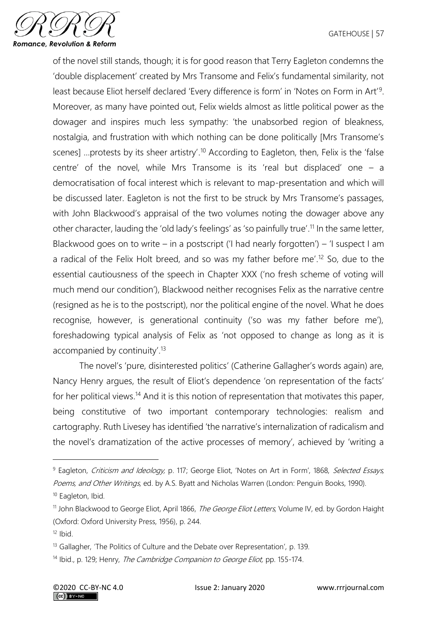

of the novel still stands, though; it is for good reason that Terry Eagleton condemns the 'double displacement' created by Mrs Transome and Felix's fundamental similarity, not least because Eliot herself declared 'Every difference is form' in 'Notes on Form in Art'<sup>9</sup>. Moreover, as many have pointed out, Felix wields almost as little political power as the dowager and inspires much less sympathy: 'the unabsorbed region of bleakness, nostalgia, and frustration with which nothing can be done politically [Mrs Transome's scenes] ...protests by its sheer artistry'.<sup>10</sup> According to Eagleton, then, Felix is the 'false centre' of the novel, while Mrs Transome is its 'real but displaced' one – a democratisation of focal interest which is relevant to map-presentation and which will be discussed later. Eagleton is not the first to be struck by Mrs Transome's passages, with John Blackwood's appraisal of the two volumes noting the dowager above any other character, lauding the 'old lady's feelings' as 'so painfully true'. <sup>11</sup> In the same letter, Blackwood goes on to write – in a postscript ('I had nearly forgotten') – 'I suspect I am a radical of the Felix Holt breed, and so was my father before me'. <sup>12</sup> So, due to the essential cautiousness of the speech in Chapter XXX ('no fresh scheme of voting will much mend our condition'), Blackwood neither recognises Felix as the narrative centre (resigned as he is to the postscript), nor the political engine of the novel. What he does recognise, however, is generational continuity ('so was my father before me'), foreshadowing typical analysis of Felix as 'not opposed to change as long as it is accompanied by continuity'. 13

The novel's 'pure, disinterested politics' (Catherine Gallagher's words again) are, Nancy Henry argues, the result of Eliot's dependence 'on representation of the facts' for her political views.<sup>14</sup> And it is this notion of representation that motivates this paper, being constitutive of two important contemporary technologies: realism and cartography. Ruth Livesey has identified 'the narrative's internalization of radicalism and the novel's dramatization of the active processes of memory', achieved by 'writing a

<sup>&</sup>lt;sup>9</sup> Eagleton, Criticism and Ideology, p. 117; George Eliot, 'Notes on Art in Form', 1868, Selected Essays, Poems, and Other Writings, ed. by A.S. Byatt and Nicholas Warren (London: Penguin Books, 1990).

<sup>&</sup>lt;sup>10</sup> Eagleton, Ibid.

<sup>&</sup>lt;sup>11</sup> John Blackwood to George Eliot, April 1866, *The George Eliot Letters*, Volume IV, ed. by Gordon Haight (Oxford: Oxford University Press, 1956), p. 244.

 $12$  Ibid.

<sup>&</sup>lt;sup>13</sup> Gallagher, 'The Politics of Culture and the Debate over Representation', p. 139.

<sup>&</sup>lt;sup>14</sup> Ibid., p. 129; Henry, *The Cambridge Companion to George Eliot*, pp. 155-174.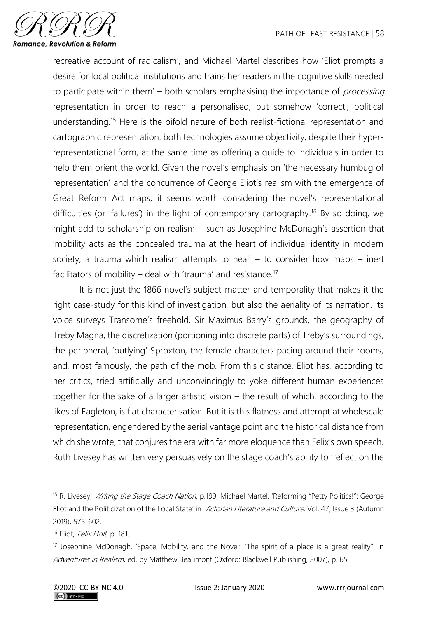

recreative account of radicalism', and Michael Martel describes how 'Eliot prompts a desire for local political institutions and trains her readers in the cognitive skills needed to participate within them'  $-$  both scholars emphasising the importance of *processing* representation in order to reach a personalised, but somehow 'correct', political understanding. <sup>15</sup> Here is the bifold nature of both realist-fictional representation and cartographic representation: both technologies assume objectivity, despite their hyperrepresentational form, at the same time as offering a guide to individuals in order to help them orient the world. Given the novel's emphasis on 'the necessary humbug of representation' and the concurrence of George Eliot's realism with the emergence of Great Reform Act maps, it seems worth considering the novel's representational difficulties (or 'failures') in the light of contemporary cartography.<sup>16</sup> By so doing, we might add to scholarship on realism – such as Josephine McDonagh's assertion that 'mobility acts as the concealed trauma at the heart of individual identity in modern society, a trauma which realism attempts to heal'  $-$  to consider how maps  $-$  inert facilitators of mobility – deal with 'trauma' and resistance.<sup>17</sup>

It is not just the 1866 novel's subject-matter and temporality that makes it the right case-study for this kind of investigation, but also the aeriality of its narration. Its voice surveys Transome's freehold, Sir Maximus Barry's grounds, the geography of Treby Magna, the discretization (portioning into discrete parts) of Treby's surroundings, the peripheral, 'outlying' Sproxton, the female characters pacing around their rooms, and, most famously, the path of the mob. From this distance, Eliot has, according to her critics, tried artificially and unconvincingly to yoke different human experiences together for the sake of a larger artistic vision – the result of which, according to the likes of Eagleton, is flat characterisation. But it is this flatness and attempt at wholescale representation, engendered by the aerial vantage point and the historical distance from which she wrote, that conjures the era with far more eloquence than Felix's own speech. Ruth Livesey has written very persuasively on the stage coach's ability to 'reflect on the

<sup>&</sup>lt;sup>15</sup> R. Livesey, *Writing the Stage Coach Nation*, p.199; Michael Martel, 'Reforming "Petty Politics!": George Eliot and the Politicization of the Local State' in Victorian Literature and Culture, Vol. 47, Issue 3 (Autumn 2019), 575-602.

<sup>&</sup>lt;sup>16</sup> Eliot, *Felix Holt*, p. 181.

 $17$  Josephine McDonagh, 'Space, Mobility, and the Novel: "The spirit of a place is a great reality" in Adventures in Realism, ed. by Matthew Beaumont (Oxford: Blackwell Publishing, 2007), p. 65.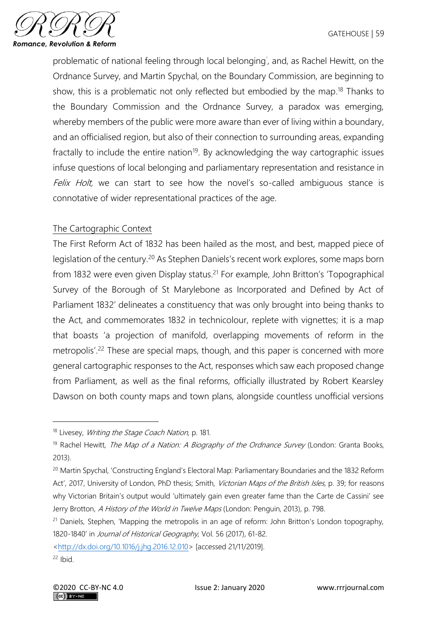

problematic of national feeling through local belonging' , and, as Rachel Hewitt, on the Ordnance Survey, and Martin Spychal, on the Boundary Commission, are beginning to show, this is a problematic not only reflected but embodied by the map.<sup>18</sup> Thanks to the Boundary Commission and the Ordnance Survey, a paradox was emerging, whereby members of the public were more aware than ever of living within a boundary, and an officialised region, but also of their connection to surrounding areas, expanding fractally to include the entire nation<sup>19</sup>. By acknowledging the way cartographic issues infuse questions of local belonging and parliamentary representation and resistance in Felix Holt, we can start to see how the novel's so-called ambiguous stance is connotative of wider representational practices of the age.

### The Cartographic Context

The First Reform Act of 1832 has been hailed as the most, and best, mapped piece of legislation of the century.<sup>20</sup> As Stephen Daniels's recent work explores, some maps born from 1832 were even given Display status.<sup>21</sup> For example, John Britton's 'Topographical Survey of the Borough of St Marylebone as Incorporated and Defined by Act of Parliament 1832' delineates a constituency that was only brought into being thanks to the Act, and commemorates 1832 in technicolour, replete with vignettes; it is a map that boasts 'a projection of manifold, overlapping movements of reform in the metropolis'. <sup>22</sup> These are special maps, though, and this paper is concerned with more general cartographic responses to the Act, responses which saw each proposed change from Parliament, as well as the final reforms, officially illustrated by Robert Kearsley Dawson on both county maps and town plans, alongside countless unofficial versions

[<http://dx.doi.org/10.1016/j.jhg.2016.12.010>](http://dx.doi.org/10.1016/j.jhg.2016.12.010) [accessed 21/11/2019].

<sup>&</sup>lt;sup>18</sup> Livesey, *Writing the Stage Coach Nation*, p. 181.

<sup>&</sup>lt;sup>19</sup> Rachel Hewitt, *The Map of a Nation: A Biography of the Ordnance Survey* (London: Granta Books, 2013).

<sup>&</sup>lt;sup>20</sup> Martin Spychal, 'Constructing England's Electoral Map: Parliamentary Boundaries and the 1832 Reform Act', 2017, University of London, PhD thesis; Smith, Victorian Maps of the British Isles, p. 39; for reasons why Victorian Britain's output would 'ultimately gain even greater fame than the Carte de Cassini' see Jerry Brotton, A History of the World in Twelve Maps (London: Penguin, 2013), p. 798.

<sup>&</sup>lt;sup>21</sup> Daniels, Stephen, 'Mapping the metropolis in an age of reform: John Britton's London topography, 1820-1840' in Journal of Historical Geography, Vol. 56 (2017), 61-82.

 $22$  Ibid.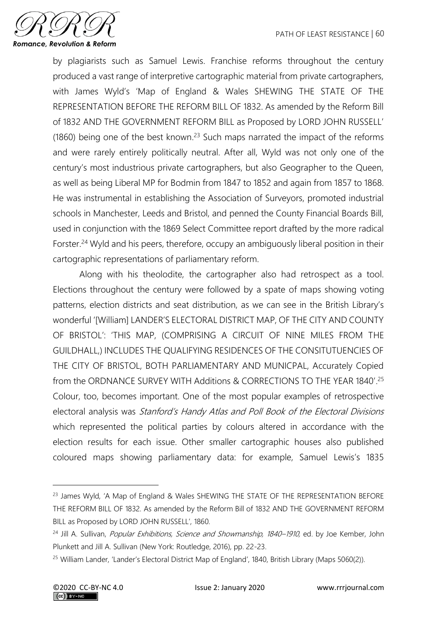

by plagiarists such as Samuel Lewis. Franchise reforms throughout the century produced a vast range of interpretive cartographic material from private cartographers, with James Wyld's 'Map of England & Wales SHEWING THE STATE OF THE REPRESENTATION BEFORE THE REFORM BILL OF 1832. As amended by the Reform Bill of 1832 AND THE GOVERNMENT REFORM BILL as Proposed by LORD JOHN RUSSELL'  $(1860)$  being one of the best known.<sup>23</sup> Such maps narrated the impact of the reforms and were rarely entirely politically neutral. After all, Wyld was not only one of the century's most industrious private cartographers, but also Geographer to the Queen, as well as being Liberal MP for Bodmin from 1847 to 1852 and again from 1857 to 1868. He was instrumental in establishing the Association of Surveyors, promoted industrial schools in Manchester, Leeds and Bristol, and penned the County Financial Boards Bill, used in conjunction with the 1869 Select Committee report drafted by the more radical Forster. <sup>24</sup> Wyld and his peers, therefore, occupy an ambiguously liberal position in their cartographic representations of parliamentary reform.

Along with his theolodite, the cartographer also had retrospect as a tool. Elections throughout the century were followed by a spate of maps showing voting patterns, election districts and seat distribution, as we can see in the British Library's wonderful '[William] LANDER'S ELECTORAL DISTRICT MAP, OF THE CITY AND COUNTY OF BRISTOL': 'THIS MAP, (COMPRISING A CIRCUIT OF NINE MILES FROM THE GUILDHALL,) INCLUDES THE QUALIFYING RESIDENCES OF THE CONSITUTUENCIES OF THE CITY OF BRISTOL, BOTH PARLIAMENTARY AND MUNICPAL, Accurately Copied from the ORDNANCE SURVEY WITH Additions & CORRECTIONS TO THE YEAR 1840'. 25 Colour, too, becomes important. One of the most popular examples of retrospective electoral analysis was Stanford's Handy Atlas and Poll Book of the Electoral Divisions which represented the political parties by colours altered in accordance with the election results for each issue. Other smaller cartographic houses also published coloured maps showing parliamentary data: for example, Samuel Lewis's 1835

<sup>&</sup>lt;sup>23</sup> James Wyld, 'A Map of England & Wales SHEWING THE STATE OF THE REPRESENTATION BEFORE THE REFORM BILL OF 1832. As amended by the Reform Bill of 1832 AND THE GOVERNMENT REFORM BILL as Proposed by LORD JOHN RUSSELL', 1860.

<sup>&</sup>lt;sup>24</sup> Jill A. Sullivan, *Popular Exhibitions, Science and Showmanship, 1840–1910*, ed. by Joe Kember, John Plunkett and Jill A. Sullivan (New York: Routledge, 2016), pp. 22-23.

<sup>&</sup>lt;sup>25</sup> William Lander, 'Lander's Electoral District Map of England', 1840, British Library (Maps 5060(2)).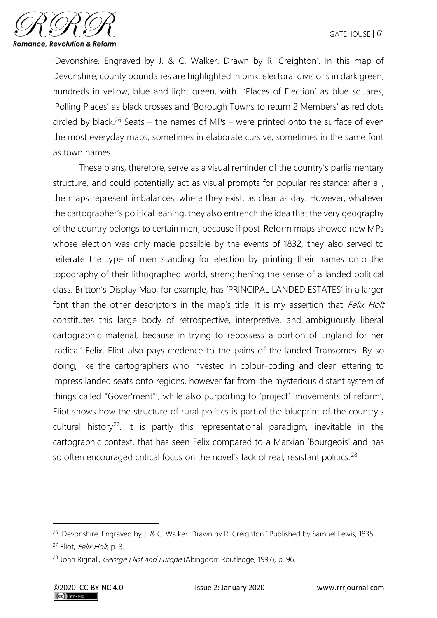

'Devonshire. Engraved by J. & C. Walker. Drawn by R. Creighton'. In this map of Devonshire, county boundaries are highlighted in pink, electoral divisions in dark green, hundreds in yellow, blue and light green, with 'Places of Election' as blue squares, 'Polling Places' as black crosses and 'Borough Towns to return 2 Members' as red dots circled by black.<sup>26</sup> Seats – the names of MPs – were printed onto the surface of even the most everyday maps, sometimes in elaborate cursive, sometimes in the same font as town names.

These plans, therefore, serve as a visual reminder of the country's parliamentary structure, and could potentially act as visual prompts for popular resistance; after all, the maps represent imbalances, where they exist, as clear as day. However, whatever the cartographer's political leaning, they also entrench the idea that the very geography of the country belongs to certain men, because if post-Reform maps showed new MPs whose election was only made possible by the events of 1832, they also served to reiterate the type of men standing for election by printing their names onto the topography of their lithographed world, strengthening the sense of a landed political class. Britton's Display Map, for example, has 'PRINCIPAL LANDED ESTATES' in a larger font than the other descriptors in the map's title. It is my assertion that *Felix Holt* constitutes this large body of retrospective, interpretive, and ambiguously liberal cartographic material, because in trying to repossess a portion of England for her 'radical' Felix, Eliot also pays credence to the pains of the landed Transomes. By so doing, like the cartographers who invested in colour-coding and clear lettering to impress landed seats onto regions, however far from 'the mysterious distant system of things called "Gover'ment"', while also purporting to 'project' 'movements of reform', Eliot shows how the structure of rural politics is part of the blueprint of the country's cultural history<sup>27</sup>. It is partly this representational paradigm, inevitable in the cartographic context, that has seen Felix compared to a Marxian 'Bourgeois' and has so often encouraged critical focus on the novel's lack of real, resistant politics.<sup>28</sup>

<sup>&</sup>lt;sup>26</sup> 'Devonshire. Engraved by J. & C. Walker. Drawn by R. Creighton.' Published by Samuel Lewis, 1835.

<sup>&</sup>lt;sup>27</sup> Eliot, *Felix Holt*, p. 3.

<sup>&</sup>lt;sup>28</sup> John Rignall, *George Eliot and Europe* (Abingdon: Routledge, 1997), p. 96.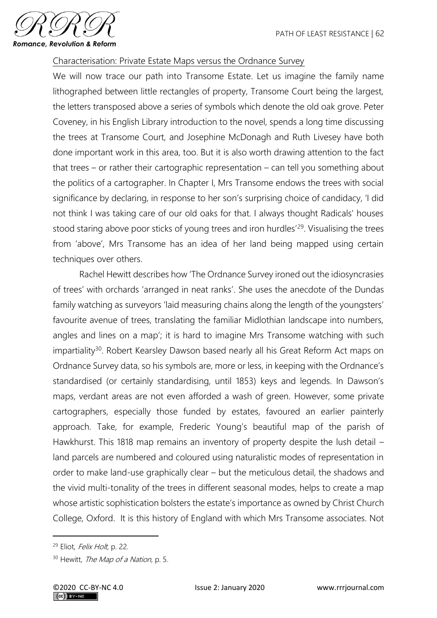

### Characterisation: Private Estate Maps versus the Ordnance Survey

We will now trace our path into Transome Estate. Let us imagine the family name lithographed between little rectangles of property, Transome Court being the largest, the letters transposed above a series of symbols which denote the old oak grove. Peter Coveney, in his English Library introduction to the novel, spends a long time discussing the trees at Transome Court, and Josephine McDonagh and Ruth Livesey have both done important work in this area, too. But it is also worth drawing attention to the fact that trees – or rather their cartographic representation – can tell you something about the politics of a cartographer. In Chapter I, Mrs Transome endows the trees with social significance by declaring, in response to her son's surprising choice of candidacy, 'I did not think I was taking care of our old oaks for that. I always thought Radicals' houses stood staring above poor sticks of young trees and iron hurdles<sup>'29</sup>. Visualising the trees from 'above', Mrs Transome has an idea of her land being mapped using certain techniques over others.

Rachel Hewitt describes how 'The Ordnance Survey ironed out the idiosyncrasies of trees' with orchards 'arranged in neat ranks'. She uses the anecdote of the Dundas family watching as surveyors 'laid measuring chains along the length of the youngsters' favourite avenue of trees, translating the familiar Midlothian landscape into numbers, angles and lines on a map'; it is hard to imagine Mrs Transome watching with such impartiality<sup>30</sup>. Robert Kearsley Dawson based nearly all his Great Reform Act maps on Ordnance Survey data, so his symbols are, more or less, in keeping with the Ordnance's standardised (or certainly standardising, until 1853) keys and legends. In Dawson's maps, verdant areas are not even afforded a wash of green. However, some private cartographers, especially those funded by estates, favoured an earlier painterly approach. Take, for example, Frederic Young's beautiful map of the parish of Hawkhurst. This 1818 map remains an inventory of property despite the lush detail – land parcels are numbered and coloured using naturalistic modes of representation in order to make land-use graphically clear – but the meticulous detail, the shadows and the vivid multi-tonality of the trees in different seasonal modes, helps to create a map whose artistic sophistication bolsters the estate's importance as owned by Christ Church College, Oxford. It is this history of England with which Mrs Transome associates. Not

<sup>&</sup>lt;sup>29</sup> Eliot, *Felix Holt*, p. 22.

<sup>&</sup>lt;sup>30</sup> Hewitt, *The Map of a Nation*, p. 5.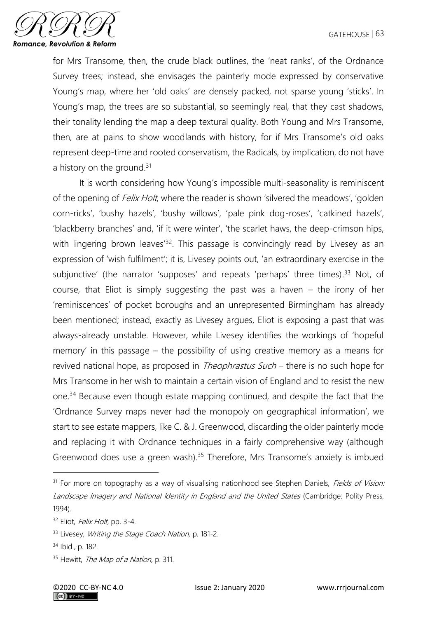

for Mrs Transome, then, the crude black outlines, the 'neat ranks', of the Ordnance Survey trees; instead, she envisages the painterly mode expressed by conservative Young's map, where her 'old oaks' are densely packed, not sparse young 'sticks'. In Young's map, the trees are so substantial, so seemingly real, that they cast shadows, their tonality lending the map a deep textural quality. Both Young and Mrs Transome, then, are at pains to show woodlands with history, for if Mrs Transome's old oaks represent deep-time and rooted conservatism, the Radicals, by implication, do not have a history on the ground.<sup>31</sup>

It is worth considering how Young's impossible multi-seasonality is reminiscent of the opening of *Felix Holt*, where the reader is shown 'silvered the meadows', 'golden corn-ricks', 'bushy hazels', 'bushy willows', 'pale pink dog-roses', 'catkined hazels', 'blackberry branches' and, 'if it were winter', 'the scarlet haws, the deep-crimson hips, with lingering brown leaves<sup>'32</sup>. This passage is convincingly read by Livesey as an expression of 'wish fulfilment'; it is, Livesey points out, 'an extraordinary exercise in the subjunctive' (the narrator 'supposes' and repeats 'perhaps' three times). <sup>33</sup> Not, of course, that Eliot is simply suggesting the past was a haven – the irony of her 'reminiscences' of pocket boroughs and an unrepresented Birmingham has already been mentioned; instead, exactly as Livesey argues, Eliot is exposing a past that was always-already unstable. However, while Livesey identifies the workings of 'hopeful memory' in this passage – the possibility of using creative memory as a means for revived national hope, as proposed in *Theophrastus Such* – there is no such hope for Mrs Transome in her wish to maintain a certain vision of England and to resist the new one.<sup>34</sup> Because even though estate mapping continued, and despite the fact that the 'Ordnance Survey maps never had the monopoly on geographical information', we start to see estate mappers, like C. & J. Greenwood, discarding the older painterly mode and replacing it with Ordnance techniques in a fairly comprehensive way (although Greenwood does use a green wash). <sup>35</sup> Therefore, Mrs Transome's anxiety is imbued

<sup>&</sup>lt;sup>31</sup> For more on topography as a way of visualising nationhood see Stephen Daniels, Fields of Vision: Landscape Imagery and National Identity in England and the United States (Cambridge: Polity Press, 1994).

 $32$  Eliot, *Felix Holt*, pp. 3-4.

<sup>33</sup> Livesey, Writing the Stage Coach Nation, p. 181-2.

<sup>34</sup> Ibid., p. 182.

<sup>&</sup>lt;sup>35</sup> Hewitt, *The Map of a Nation*, p. 311.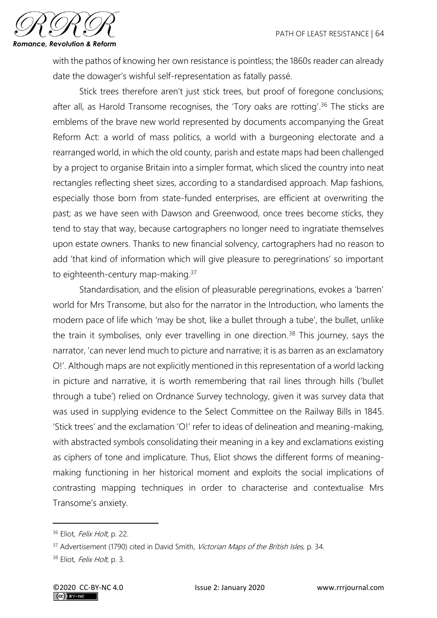

with the pathos of knowing her own resistance is pointless; the 1860s reader can already date the dowager's wishful self-representation as fatally passé.

Stick trees therefore aren't just stick trees, but proof of foregone conclusions; after all, as Harold Transome recognises, the 'Tory oaks are rotting'.<sup>36</sup> The sticks are emblems of the brave new world represented by documents accompanying the Great Reform Act: a world of mass politics, a world with a burgeoning electorate and a rearranged world, in which the old county, parish and estate maps had been challenged by a project to organise Britain into a simpler format, which sliced the country into neat rectangles reflecting sheet sizes, according to a standardised approach. Map fashions, especially those born from state-funded enterprises, are efficient at overwriting the past; as we have seen with Dawson and Greenwood, once trees become sticks, they tend to stay that way, because cartographers no longer need to ingratiate themselves upon estate owners. Thanks to new financial solvency, cartographers had no reason to add 'that kind of information which will give pleasure to peregrinations' so important to eighteenth-century map-making.<sup>37</sup>

Standardisation, and the elision of pleasurable peregrinations, evokes a 'barren' world for Mrs Transome, but also for the narrator in the Introduction, who laments the modern pace of life which 'may be shot, like a bullet through a tube', the bullet, unlike the train it symbolises, only ever travelling in one direction.<sup>38</sup> This journey, says the narrator, 'can never lend much to picture and narrative; it is as barren as an exclamatory O!'. Although maps are not explicitly mentioned in this representation of a world lacking in picture and narrative, it is worth remembering that rail lines through hills ('bullet through a tube') relied on Ordnance Survey technology, given it was survey data that was used in supplying evidence to the Select Committee on the Railway Bills in 1845. 'Stick trees' and the exclamation 'O!' refer to ideas of delineation and meaning-making, with abstracted symbols consolidating their meaning in a key and exclamations existing as ciphers of tone and implicature. Thus, Eliot shows the different forms of meaningmaking functioning in her historical moment and exploits the social implications of contrasting mapping techniques in order to characterise and contextualise Mrs Transome's anxiety.

<sup>&</sup>lt;sup>36</sup> Eliot, *Felix Holt*, p. 22.

<sup>&</sup>lt;sup>37</sup> Advertisement (1790) cited in David Smith, Victorian Maps of the British Isles, p. 34.

<sup>38</sup> Eliot, Felix Holt, p. 3.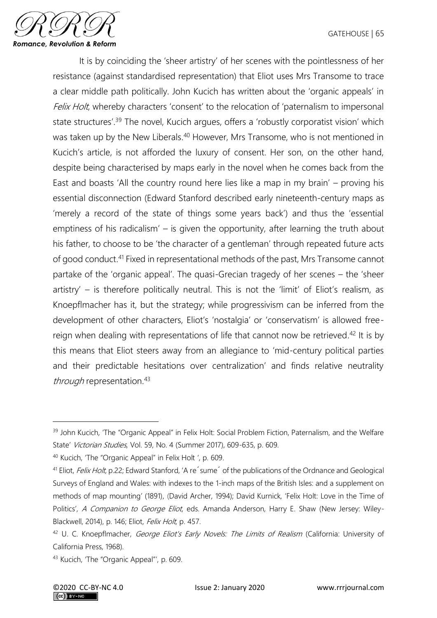

It is by coinciding the 'sheer artistry' of her scenes with the pointlessness of her resistance (against standardised representation) that Eliot uses Mrs Transome to trace a clear middle path politically. John Kucich has written about the 'organic appeals' in Felix Holt, whereby characters 'consent' to the relocation of 'paternalism to impersonal state structures<sup>' 39</sup> The novel, Kucich argues, offers a 'robustly corporatist vision' which was taken up by the New Liberals.<sup>40</sup> However, Mrs Transome, who is not mentioned in Kucich's article, is not afforded the luxury of consent. Her son, on the other hand, despite being characterised by maps early in the novel when he comes back from the East and boasts 'All the country round here lies like a map in my brain' – proving his essential disconnection (Edward Stanford described early nineteenth-century maps as 'merely a record of the state of things some years back') and thus the 'essential emptiness of his radicalism' – is given the opportunity, after learning the truth about his father, to choose to be 'the character of a gentleman' through repeated future acts of good conduct. <sup>41</sup> Fixed in representational methods of the past, Mrs Transome cannot partake of the 'organic appeal'. The quasi-Grecian tragedy of her scenes – the 'sheer artistry' – is therefore politically neutral. This is not the 'limit' of Eliot's realism, as Knoepflmacher has it, but the strategy; while progressivism can be inferred from the development of other characters, Eliot's 'nostalgia' or 'conservatism' is allowed freereign when dealing with representations of life that cannot now be retrieved.<sup>42</sup> It is by this means that Eliot steers away from an allegiance to 'mid-century political parties and their predictable hesitations over centralization' and finds relative neutrality through representation.<sup>43</sup>

<sup>40</sup> Kucich, 'The "Organic Appeal" in Felix Holt ', p. 609.

<sup>&</sup>lt;sup>39</sup> John Kucich, 'The "Organic Appeal" in Felix Holt: Social Problem Fiction, Paternalism, and the Welfare State' Victorian Studies, Vol. 59, No. 4 (Summer 2017), 609-635, p. 609.

<sup>&</sup>lt;sup>41</sup> Eliot, *Felix Holt*, p.22; Edward Stanford, 'A re<sup> $\dot{}$ </sup> sume<sup> $\dot{}$ </sup> of the publications of the Ordnance and Geological Surveys of England and Wales: with indexes to the 1-inch maps of the British Isles: and a supplement on methods of map mounting' (1891), (David Archer, 1994); David Kurnick, 'Felix Holt: Love in the Time of Politics', A Companion to George Eliot, eds. Amanda Anderson, Harry E. Shaw (New Jersey: Wiley-Blackwell, 2014), p. 146; Eliot, Felix Holt, p. 457.

<sup>&</sup>lt;sup>42</sup> U. C. Knoepflmacher, *George Eliot's Early Novels: The Limits of Realism* (California: University of California Press, 1968).

<sup>43</sup> Kucich, 'The "Organic Appeal"', p. 609.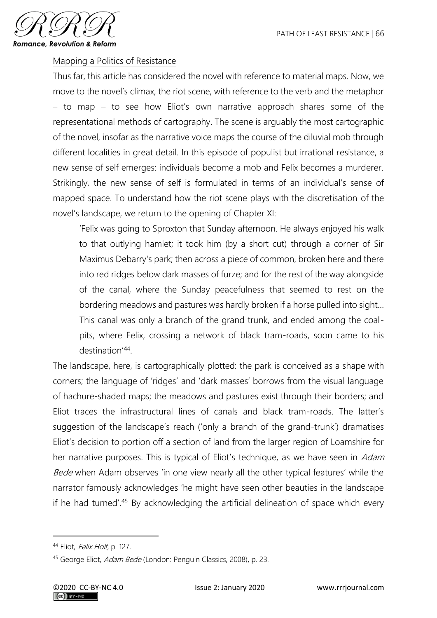

#### Mapping a Politics of Resistance

Thus far, this article has considered the novel with reference to material maps. Now, we move to the novel's climax, the riot scene, with reference to the verb and the metaphor – to map – to see how Eliot's own narrative approach shares some of the representational methods of cartography. The scene is arguably the most cartographic of the novel, insofar as the narrative voice maps the course of the diluvial mob through different localities in great detail. In this episode of populist but irrational resistance, a new sense of self emerges: individuals become a mob and Felix becomes a murderer. Strikingly, the new sense of self is formulated in terms of an individual's sense of mapped space. To understand how the riot scene plays with the discretisation of the novel's landscape, we return to the opening of Chapter XI:

'Felix was going to Sproxton that Sunday afternoon. He always enjoyed his walk to that outlying hamlet; it took him (by a short cut) through a corner of Sir Maximus Debarry's park; then across a piece of common, broken here and there into red ridges below dark masses of furze; and for the rest of the way alongside of the canal, where the Sunday peacefulness that seemed to rest on the bordering meadows and pastures was hardly broken if a horse pulled into sight… This canal was only a branch of the grand trunk, and ended among the coalpits, where Felix, crossing a network of black tram-roads, soon came to his destination'<sup>44</sup> .

The landscape, here, is cartographically plotted: the park is conceived as a shape with corners; the language of 'ridges' and 'dark masses' borrows from the visual language of hachure-shaded maps; the meadows and pastures exist through their borders; and Eliot traces the infrastructural lines of canals and black tram-roads. The latter's suggestion of the landscape's reach ('only a branch of the grand-trunk') dramatises Eliot's decision to portion off a section of land from the larger region of Loamshire for her narrative purposes. This is typical of Eliot's technique, as we have seen in Adam Bede when Adam observes 'in one view nearly all the other typical features' while the narrator famously acknowledges 'he might have seen other beauties in the landscape if he had turned'. <sup>45</sup> By acknowledging the artificial delineation of space which every

<sup>44</sup> Eliot, Felix Holt, p. 127.

<sup>45</sup> George Eliot, *Adam Bede* (London: Penguin Classics, 2008), p. 23.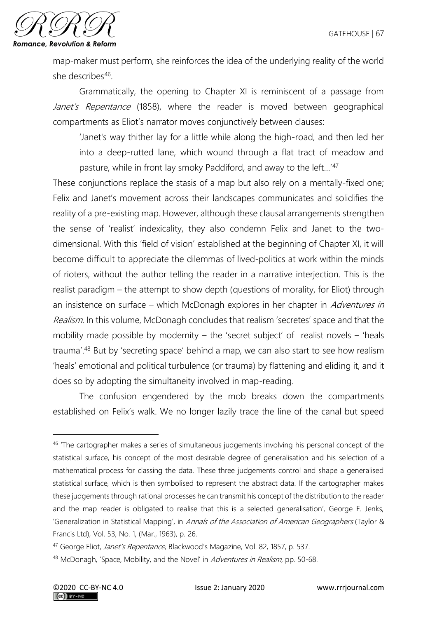

map-maker must perform, she reinforces the idea of the underlying reality of the world she describes<sup>46</sup>.

Grammatically, the opening to Chapter XI is reminiscent of a passage from Janet's Repentance (1858), where the reader is moved between geographical compartments as Eliot's narrator moves conjunctively between clauses:

'Janet's way thither lay for a little while along the high-road, and then led her into a deep-rutted lane, which wound through a flat tract of meadow and pasture, while in front lay smoky Paddiford, and away to the left…'<sup>47</sup>

These conjunctions replace the stasis of a map but also rely on a mentally-fixed one; Felix and Janet's movement across their landscapes communicates and solidifies the reality of a pre-existing map. However, although these clausal arrangements strengthen the sense of 'realist' indexicality, they also condemn Felix and Janet to the twodimensional. With this 'field of vision' established at the beginning of Chapter XI, it will become difficult to appreciate the dilemmas of lived-politics at work within the minds of rioters, without the author telling the reader in a narrative interjection. This is the realist paradigm – the attempt to show depth (questions of morality, for Eliot) through an insistence on surface – which McDonagh explores in her chapter in Adventures in Realism. In this volume, McDonagh concludes that realism 'secretes' space and that the mobility made possible by modernity – the 'secret subject' of realist novels – 'heals trauma'. <sup>48</sup> But by 'secreting space' behind a map, we can also start to see how realism 'heals' emotional and political turbulence (or trauma) by flattening and eliding it, and it does so by adopting the simultaneity involved in map-reading.

The confusion engendered by the mob breaks down the compartments established on Felix's walk. We no longer lazily trace the line of the canal but speed

<sup>&</sup>lt;sup>46</sup> 'The cartographer makes a series of simultaneous judgements involving his personal concept of the statistical surface, his concept of the most desirable degree of generalisation and his selection of a mathematical process for classing the data. These three judgements control and shape a generalised statistical surface, which is then symbolised to represent the abstract data. If the cartographer makes these judgements through rational processes he can transmit his concept of the distribution to the reader and the map reader is obligated to realise that this is a selected generalisation', George F. Jenks, 'Generalization in Statistical Mapping', in Annals of the Association of American Geographers (Taylor & Francis Ltd), Vol. 53, No. 1, (Mar., 1963), p. 26.

<sup>&</sup>lt;sup>47</sup> George Eliot, Janet's Repentance, Blackwood's Magazine, Vol. 82, 1857, p. 537.

<sup>48</sup> McDonagh, 'Space, Mobility, and the Novel' in Adventures in Realism, pp. 50-68.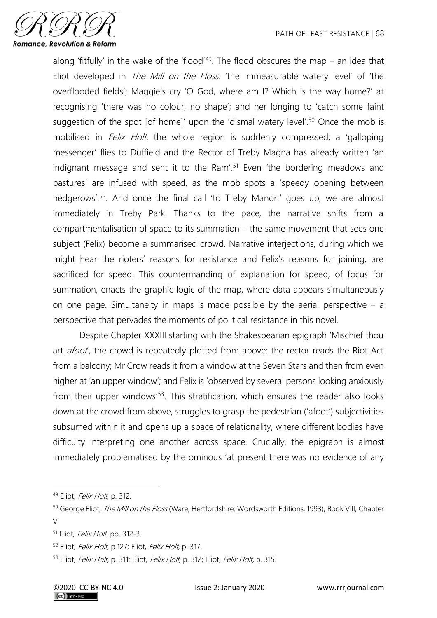

along 'fitfully' in the wake of the 'flood'<sup>49</sup>. The flood obscures the map  $-$  an idea that Eliot developed in *The Mill on the Floss*: 'the immeasurable watery level' of 'the overflooded fields'; Maggie's cry 'O God, where am I? Which is the way home?' at recognising 'there was no colour, no shape'; and her longing to 'catch some faint suggestion of the spot [of home]' upon the 'dismal watery level'. <sup>50</sup> Once the mob is mobilised in *Felix Holt*, the whole region is suddenly compressed; a 'galloping messenger' flies to Duffield and the Rector of Treby Magna has already written 'an indignant message and sent it to the Ram'. <sup>51</sup> Even 'the bordering meadows and pastures' are infused with speed, as the mob spots a 'speedy opening between hedgerows'. 52 . And once the final call 'to Treby Manor!' goes up, we are almost immediately in Treby Park. Thanks to the pace, the narrative shifts from a compartmentalisation of space to its summation – the same movement that sees one subject (Felix) become a summarised crowd. Narrative interjections, during which we might hear the rioters' reasons for resistance and Felix's reasons for joining, are sacrificed for speed. This countermanding of explanation for speed, of focus for summation, enacts the graphic logic of the map, where data appears simultaneously on one page. Simultaneity in maps is made possible by the aerial perspective  $-$  a perspective that pervades the moments of political resistance in this novel.

Despite Chapter XXXIII starting with the Shakespearian epigraph 'Mischief thou art *afoot*, the crowd is repeatedly plotted from above: the rector reads the Riot Act from a balcony; Mr Crow reads it from a window at the Seven Stars and then from even higher at 'an upper window'; and Felix is 'observed by several persons looking anxiously from their upper windows<sup>'53</sup>. This stratification, which ensures the reader also looks down at the crowd from above, struggles to grasp the pedestrian ('afoot') subjectivities subsumed within it and opens up a space of relationality, where different bodies have difficulty interpreting one another across space. Crucially, the epigraph is almost immediately problematised by the ominous 'at present there was no evidence of any

<sup>49</sup> Eliot, Felix Holt, p. 312.

<sup>&</sup>lt;sup>50</sup> George Eliot, *The Mill on the Floss* (Ware, Hertfordshire: Wordsworth Editions, 1993), Book VIII, Chapter V.

<sup>51</sup> Eliot, Felix Holt, pp. 312-3.

<sup>&</sup>lt;sup>52</sup> Eliot, Felix Holt, p.127; Eliot, Felix Holt, p. 317.

<sup>53</sup> Eliot, Felix Holt, p. 311; Eliot, Felix Holt, p. 312; Eliot, Felix Holt, p. 315.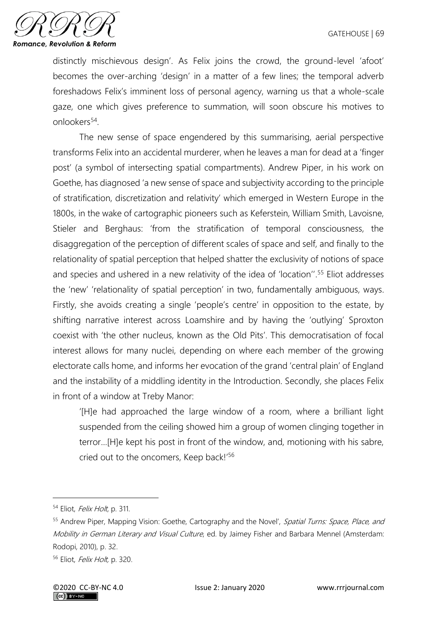

distinctly mischievous design'. As Felix joins the crowd, the ground-level 'afoot' becomes the over-arching 'design' in a matter of a few lines; the temporal adverb foreshadows Felix's imminent loss of personal agency, warning us that a whole-scale gaze, one which gives preference to summation, will soon obscure his motives to onlookers<sup>54</sup>.

The new sense of space engendered by this summarising, aerial perspective transforms Felix into an accidental murderer, when he leaves a man for dead at a 'finger post' (a symbol of intersecting spatial compartments). Andrew Piper, in his work on Goethe, has diagnosed 'a new sense of space and subjectivity according to the principle of stratification, discretization and relativity' which emerged in Western Europe in the 1800s, in the wake of cartographic pioneers such as Keferstein, William Smith, Lavoisne, Stieler and Berghaus: 'from the stratification of temporal consciousness, the disaggregation of the perception of different scales of space and self, and finally to the relationality of spatial perception that helped shatter the exclusivity of notions of space and species and ushered in a new relativity of the idea of 'location''. <sup>55</sup> Eliot addresses the 'new' 'relationality of spatial perception' in two, fundamentally ambiguous, ways. Firstly, she avoids creating a single 'people's centre' in opposition to the estate, by shifting narrative interest across Loamshire and by having the 'outlying' Sproxton coexist with 'the other nucleus, known as the Old Pits'. This democratisation of focal interest allows for many nuclei, depending on where each member of the growing electorate calls home, and informs her evocation of the grand 'central plain' of England and the instability of a middling identity in the Introduction. Secondly, she places Felix in front of a window at Treby Manor:

'[H]e had approached the large window of a room, where a brilliant light suspended from the ceiling showed him a group of women clinging together in terror…[H]e kept his post in front of the window, and, motioning with his sabre, cried out to the oncomers, Keep back!'<sup>56</sup>

<sup>&</sup>lt;sup>54</sup> Eliot, *Felix Holt*, p. 311.

<sup>55</sup> Andrew Piper, Mapping Vision: Goethe, Cartography and the Novel', Spatial Turns: Space, Place, and Mobility in German Literary and Visual Culture, ed. by Jaimey Fisher and Barbara Mennel (Amsterdam: Rodopi, 2010), p. 32.

<sup>56</sup> Eliot, Felix Holt, p. 320.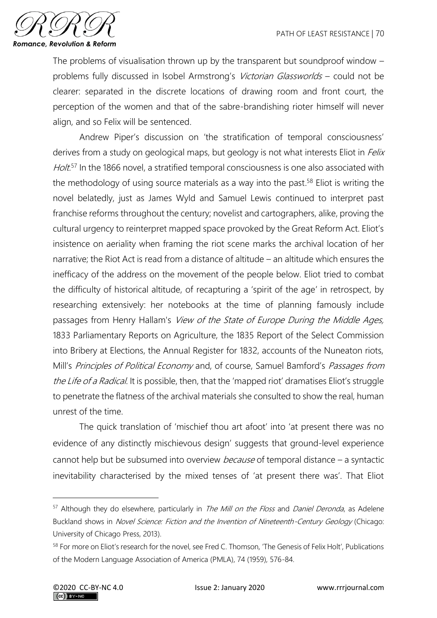

The problems of visualisation thrown up by the transparent but soundproof window – problems fully discussed in Isobel Armstrong's Victorian Glassworlds – could not be clearer: separated in the discrete locations of drawing room and front court, the perception of the women and that of the sabre-brandishing rioter himself will never align, and so Felix will be sentenced.

Andrew Piper's discussion on 'the stratification of temporal consciousness' derives from a study on geological maps, but geology is not what interests Eliot in *Felix* Holt.<sup>57</sup> In the 1866 novel, a stratified temporal consciousness is one also associated with the methodology of using source materials as a way into the past.<sup>58</sup> Eliot is writing the novel belatedly, just as James Wyld and Samuel Lewis continued to interpret past franchise reforms throughout the century; novelist and cartographers, alike, proving the cultural urgency to reinterpret mapped space provoked by the Great Reform Act. Eliot's insistence on aeriality when framing the riot scene marks the archival location of her narrative; the Riot Act is read from a distance of altitude – an altitude which ensures the inefficacy of the address on the movement of the people below. Eliot tried to combat the difficulty of historical altitude, of recapturing a 'spirit of the age' in retrospect, by researching extensively: her notebooks at the time of planning famously include passages from Henry Hallam's View of the State of Europe During the Middle Ages, 1833 Parliamentary Reports on Agriculture, the 1835 Report of the Select Commission into Bribery at Elections, the Annual Register for 1832, accounts of the Nuneaton riots, Mill's Principles of Political Economy and, of course, Samuel Bamford's Passages from the Life of a Radical. It is possible, then, that the 'mapped riot' dramatises Eliot's struggle to penetrate the flatness of the archival materials she consulted to show the real, human unrest of the time.

The quick translation of 'mischief thou art afoot' into 'at present there was no evidence of any distinctly mischievous design' suggests that ground-level experience cannot help but be subsumed into overview *because* of temporal distance – a syntactic inevitability characterised by the mixed tenses of 'at present there was'. That Eliot

<sup>&</sup>lt;sup>57</sup> Although they do elsewhere, particularly in *The Mill on the Floss* and *Daniel Deronda*, as Adelene Buckland shows in Novel Science: Fiction and the Invention of Nineteenth-Century Geology (Chicago: University of Chicago Press, 2013).

<sup>58</sup> For more on Eliot's research for the novel, see Fred C. Thomson, 'The Genesis of Felix Holt', Publications of the Modern Language Association of America (PMLA), 74 (1959), 576-84.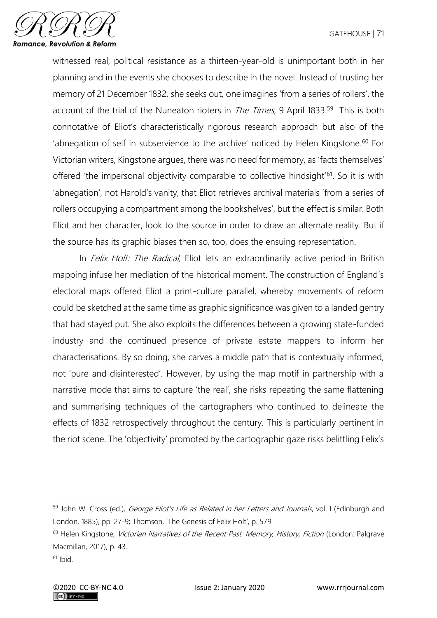

witnessed real, political resistance as a thirteen-year-old is unimportant both in her planning and in the events she chooses to describe in the novel. Instead of trusting her memory of 21 December 1832, she seeks out, one imagines 'from a series of rollers', the account of the trial of the Nuneaton rioters in *The Times*, 9 April 1833.<sup>59</sup> This is both connotative of Eliot's characteristically rigorous research approach but also of the 'abnegation of self in subservience to the archive' noticed by Helen Kingstone. <sup>60</sup> For Victorian writers, Kingstone argues, there was no need for memory, as 'facts themselves' offered 'the impersonal objectivity comparable to collective hindsight<sup>'61</sup>. So it is with 'abnegation', not Harold's vanity, that Eliot retrieves archival materials 'from a series of rollers occupying a compartment among the bookshelves', but the effect is similar. Both Eliot and her character, look to the source in order to draw an alternate reality. But if the source has its graphic biases then so, too, does the ensuing representation.

In *Felix Holt: The Radical*, Eliot lets an extraordinarily active period in British mapping infuse her mediation of the historical moment. The construction of England's electoral maps offered Eliot a print-culture parallel, whereby movements of reform could be sketched at the same time as graphic significance was given to a landed gentry that had stayed put. She also exploits the differences between a growing state-funded industry and the continued presence of private estate mappers to inform her characterisations. By so doing, she carves a middle path that is contextually informed, not 'pure and disinterested'. However, by using the map motif in partnership with a narrative mode that aims to capture 'the real', she risks repeating the same flattening and summarising techniques of the cartographers who continued to delineate the effects of 1832 retrospectively throughout the century. This is particularly pertinent in the riot scene. The 'objectivity' promoted by the cartographic gaze risks belittling Felix's

<sup>59</sup> John W. Cross (ed.), *George Eliot's Life as Related in her Letters and Journals*, vol. I (Edinburgh and London, 1885), pp. 27-9; Thomson, 'The Genesis of Felix Holt', p. 579.

<sup>&</sup>lt;sup>60</sup> Helen Kingstone, *Victorian Narratives of the Recent Past: Memory, History, Fiction* (London: Palgrave Macmillan, 2017), p. 43.

 $61$  Ibid.